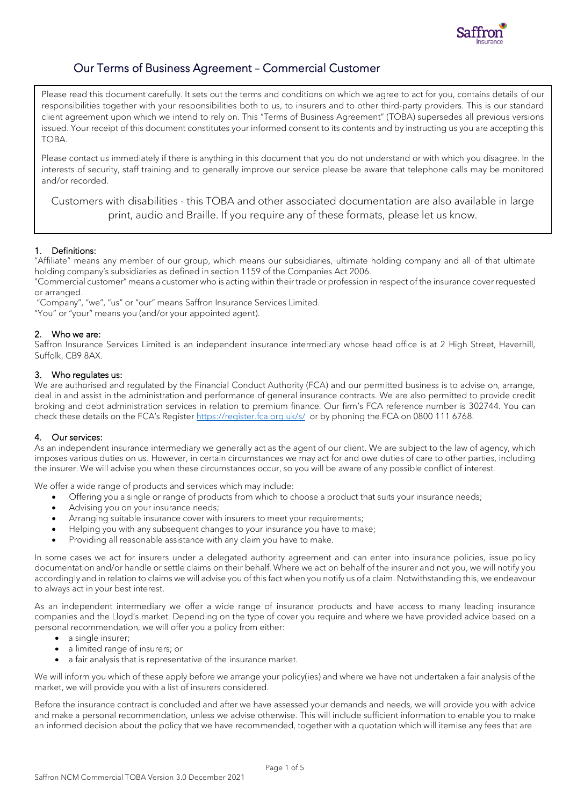

# Our Terms of Business Agreement – Commercial Customer

Please read this document carefully. It sets out the terms and conditions on which we agree to act for you, contains details of our responsibilities together with your responsibilities both to us, to insurers and to other third-party providers. This is our standard client agreement upon which we intend to rely on. This "Terms of Business Agreement" (TOBA) supersedes all previous versions issued. Your receipt of this document constitutes your informed consent to its contents and by instructing us you are accepting this TOBA.

Please contact us immediately if there is anything in this document that you do not understand or with which you disagree. In the interests of security, staff training and to generally improve our service please be aware that telephone calls may be monitored and/or recorded.

Customers with disabilities - this TOBA and other associated documentation are also available in large print, audio and Braille. If you require any of these formats, please let us know.

# 1. Definitions:

"Affiliate" means any member of our group, which means our subsidiaries, ultimate holding company and all of that ultimate holding company's subsidiaries as defined in section 1159 of the Companies Act 2006.

"Commercial customer" means a customer who is acting within their trade or profession in respect of the insurance cover requested or arranged.

"Company", "we", "us" or "our" means Saffron Insurance Services Limited.

"You" or "your" means you (and/or your appointed agent).

# 2. Who we are:

Saffron Insurance Services Limited is an independent insurance intermediary whose head office is at 2 High Street, Haverhill, Suffolk, CB9 8AX.

# 3. Who regulates us:

We are authorised and regulated by the Financial Conduct Authority (FCA) and our permitted business is to advise on, arrange, deal in and assist in the administration and performance of general insurance contracts. We are also permitted to provide credit broking and debt administration services in relation to premium finance. Our firm's FCA reference number is 302744. You can check these details on the FCA's Register <https://register.fca.org.uk/s/>or by phoning the FCA on 0800 111 6768.

# 4. Our services:

As an independent insurance intermediary we generally act as the agent of our client. We are subject to the law of agency, which imposes various duties on us. However, in certain circumstances we may act for and owe duties of care to other parties, including the insurer. We will advise you when these circumstances occur, so you will be aware of any possible conflict of interest.

We offer a wide range of products and services which may include:

- Offering you a single or range of products from which to choose a product that suits your insurance needs;
- Advising you on your insurance needs;
- Arranging suitable insurance cover with insurers to meet your requirements;
- Helping you with any subsequent changes to your insurance you have to make;
- Providing all reasonable assistance with any claim you have to make.

In some cases we act for insurers under a delegated authority agreement and can enter into insurance policies, issue policy documentation and/or handle or settle claims on their behalf. Where we act on behalf of the insurer and not you, we will notify you accordingly and in relation to claims we will advise you of this fact when you notify us of a claim. Notwithstanding this, we endeavour to always act in your best interest.

As an independent intermediary we offer a wide range of insurance products and have access to many leading insurance companies and the Lloyd's market. Depending on the type of cover you require and where we have provided advice based on a personal recommendation, we will offer you a policy from either:

- a single insurer;
- a limited range of insurers; or
- a fair analysis that is representative of the insurance market.

We will inform you which of these apply before we arrange your policy(ies) and where we have not undertaken a fair analysis of the market, we will provide you with a list of insurers considered.

Before the insurance contract is concluded and after we have assessed your demands and needs, we will provide you with advice and make a personal recommendation, unless we advise otherwise. This will include sufficient information to enable you to make an informed decision about the policy that we have recommended, together with a quotation which will itemise any fees that are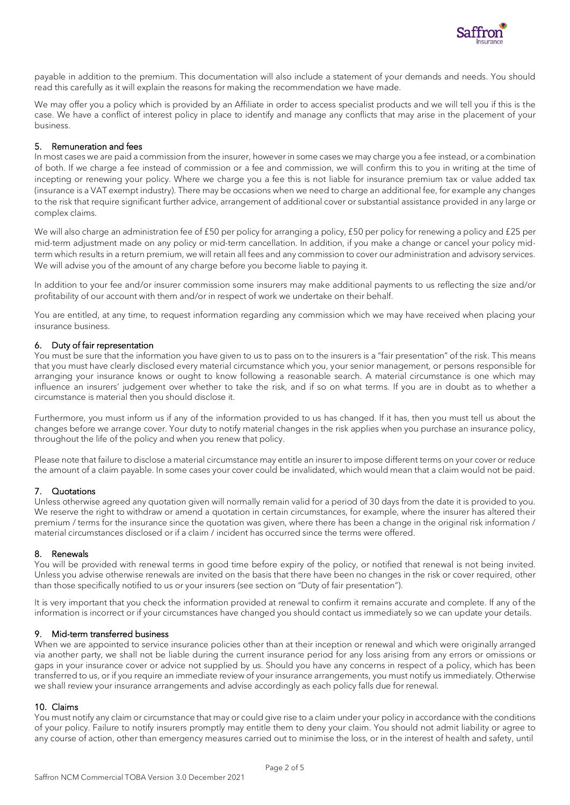

payable in addition to the premium. This documentation will also include a statement of your demands and needs. You should read this carefully as it will explain the reasons for making the recommendation we have made.

We may offer you a policy which is provided by an Affiliate in order to access specialist products and we will tell you if this is the case. We have a conflict of interest policy in place to identify and manage any conflicts that may arise in the placement of your business.

# 5. Remuneration and fees

In most cases we are paid a commission from the insurer, however in some cases we may charge you a fee instead, or a combination of both. If we charge a fee instead of commission or a fee and commission, we will confirm this to you in writing at the time of incepting or renewing your policy. Where we charge you a fee this is not liable for insurance premium tax or value added tax (insurance is a VAT exempt industry). There may be occasions when we need to charge an additional fee, for example any changes to the risk that require significant further advice, arrangement of additional cover or substantial assistance provided in any large or complex claims.

We will also charge an administration fee of £50 per policy for arranging a policy, £50 per policy for renewing a policy and £25 per mid-term adjustment made on any policy or mid-term cancellation. In addition, if you make a change or cancel your policy midterm which results in a return premium, we will retain all fees and any commission to cover our administration and advisory services. We will advise you of the amount of any charge before you become liable to paying it.

In addition to your fee and/or insurer commission some insurers may make additional payments to us reflecting the size and/or profitability of our account with them and/or in respect of work we undertake on their behalf.

You are entitled, at any time, to request information regarding any commission which we may have received when placing your insurance business.

#### 6. Duty of fair representation

You must be sure that the information you have given to us to pass on to the insurers is a "fair presentation" of the risk. This means that you must have clearly disclosed every material circumstance which you, your senior management, or persons responsible for arranging your insurance knows or ought to know following a reasonable search. A material circumstance is one which may influence an insurers' judgement over whether to take the risk, and if so on what terms. If you are in doubt as to whether a circumstance is material then you should disclose it.

Furthermore, you must inform us if any of the information provided to us has changed. If it has, then you must tell us about the changes before we arrange cover. Your duty to notify material changes in the risk applies when you purchase an insurance policy, throughout the life of the policy and when you renew that policy.

Please note that failure to disclose a material circumstance may entitle an insurer to impose different terms on your cover or reduce the amount of a claim payable. In some cases your cover could be invalidated, which would mean that a claim would not be paid.

#### 7. Quotations

Unless otherwise agreed any quotation given will normally remain valid for a period of 30 days from the date it is provided to you. We reserve the right to withdraw or amend a quotation in certain circumstances, for example, where the insurer has altered their premium / terms for the insurance since the quotation was given, where there has been a change in the original risk information / material circumstances disclosed or if a claim / incident has occurred since the terms were offered.

#### 8. Renewals

You will be provided with renewal terms in good time before expiry of the policy, or notified that renewal is not being invited. Unless you advise otherwise renewals are invited on the basis that there have been no changes in the risk or cover required, other than those specifically notified to us or your insurers (see section on "Duty of fair presentation").

It is very important that you check the information provided at renewal to confirm it remains accurate and complete. If any of the information is incorrect or if your circumstances have changed you should contact us immediately so we can update your details.

#### 9. Mid-term transferred business

When we are appointed to service insurance policies other than at their inception or renewal and which were originally arranged via another party, we shall not be liable during the current insurance period for any loss arising from any errors or omissions or gaps in your insurance cover or advice not supplied by us. Should you have any concerns in respect of a policy, which has been transferred to us, or if you require an immediate review of your insurance arrangements, you must notify us immediately. Otherwise we shall review your insurance arrangements and advise accordingly as each policy falls due for renewal.

#### 10. Claims

You must notify any claim or circumstance that may or could give rise to a claim under your policy in accordance with the conditions of your policy. Failure to notify insurers promptly may entitle them to deny your claim. You should not admit liability or agree to any course of action, other than emergency measures carried out to minimise the loss, or in the interest of health and safety, until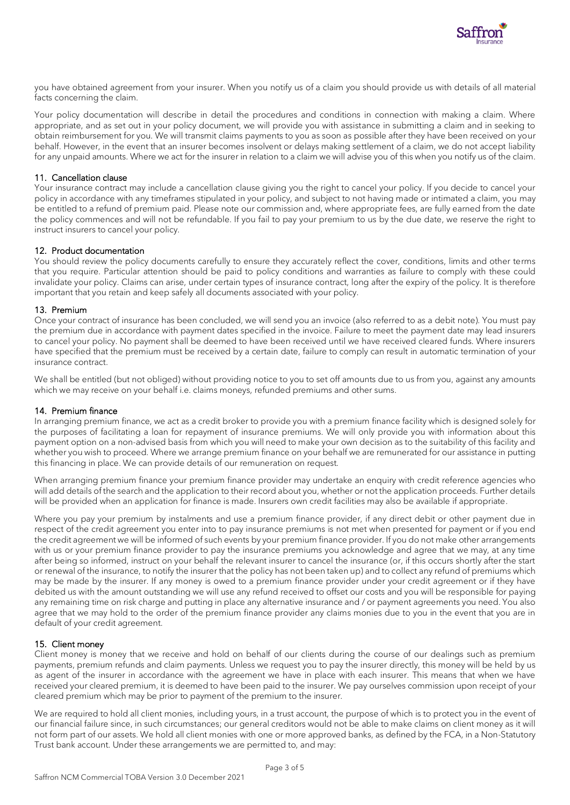

you have obtained agreement from your insurer. When you notify us of a claim you should provide us with details of all material facts concerning the claim.

Your policy documentation will describe in detail the procedures and conditions in connection with making a claim. Where appropriate, and as set out in your policy document, we will provide you with assistance in submitting a claim and in seeking to obtain reimbursement for you. We will transmit claims payments to you as soon as possible after they have been received on your behalf. However, in the event that an insurer becomes insolvent or delays making settlement of a claim, we do not accept liability for any unpaid amounts. Where we act for the insurer in relation to a claim we will advise you of this when you notify us of the claim.

# 11. Cancellation clause

Your insurance contract may include a cancellation clause giving you the right to cancel your policy. If you decide to cancel your policy in accordance with any timeframes stipulated in your policy, and subject to not having made or intimated a claim, you may be entitled to a refund of premium paid. Please note our commission and, where appropriate fees, are fully earned from the date the policy commences and will not be refundable. If you fail to pay your premium to us by the due date, we reserve the right to instruct insurers to cancel your policy.

# 12. Product documentation

You should review the policy documents carefully to ensure they accurately reflect the cover, conditions, limits and other terms that you require. Particular attention should be paid to policy conditions and warranties as failure to comply with these could invalidate your policy. Claims can arise, under certain types of insurance contract, long after the expiry of the policy. It is therefore important that you retain and keep safely all documents associated with your policy.

# 13. Premium

Once your contract of insurance has been concluded, we will send you an invoice (also referred to as a debit note). You must pay the premium due in accordance with payment dates specified in the invoice. Failure to meet the payment date may lead insurers to cancel your policy. No payment shall be deemed to have been received until we have received cleared funds. Where insurers have specified that the premium must be received by a certain date, failure to comply can result in automatic termination of your insurance contract.

We shall be entitled (but not obliged) without providing notice to you to set off amounts due to us from you, against any amounts which we may receive on your behalf i.e. claims moneys, refunded premiums and other sums.

# 14. Premium finance

In arranging premium finance, we act as a credit broker to provide you with a premium finance facility which is designed solely for the purposes of facilitating a loan for repayment of insurance premiums. We will only provide you with information about this payment option on a non-advised basis from which you will need to make your own decision as to the suitability of this facility and whether you wish to proceed. Where we arrange premium finance on your behalf we are remunerated for our assistance in putting this financing in place. We can provide details of our remuneration on request.

When arranging premium finance your premium finance provider may undertake an enquiry with credit reference agencies who will add details of the search and the application to their record about you, whether or not the application proceeds. Further details will be provided when an application for finance is made. Insurers own credit facilities may also be available if appropriate.

Where you pay your premium by instalments and use a premium finance provider, if any direct debit or other payment due in respect of the credit agreement you enter into to pay insurance premiums is not met when presented for payment or if you end the credit agreement we will be informed of such events by your premium finance provider. If you do not make other arrangements with us or your premium finance provider to pay the insurance premiums you acknowledge and agree that we may, at any time after being so informed, instruct on your behalf the relevant insurer to cancel the insurance (or, if this occurs shortly after the start or renewal of the insurance, to notify the insurer that the policy has not been taken up) and to collect any refund of premiums which may be made by the insurer. If any money is owed to a premium finance provider under your credit agreement or if they have debited us with the amount outstanding we will use any refund received to offset our costs and you will be responsible for paying any remaining time on risk charge and putting in place any alternative insurance and / or payment agreements you need. You also agree that we may hold to the order of the premium finance provider any claims monies due to you in the event that you are in default of your credit agreement.

# 15. Client money

Client money is money that we receive and hold on behalf of our clients during the course of our dealings such as premium payments, premium refunds and claim payments. Unless we request you to pay the insurer directly, this money will be held by us as agent of the insurer in accordance with the agreement we have in place with each insurer. This means that when we have received your cleared premium, it is deemed to have been paid to the insurer. We pay ourselves commission upon receipt of your cleared premium which may be prior to payment of the premium to the insurer.

We are required to hold all client monies, including yours, in a trust account, the purpose of which is to protect you in the event of our financial failure since, in such circumstances; our general creditors would not be able to make claims on client money as it will not form part of our assets. We hold all client monies with one or more approved banks, as defined by the FCA, in a Non-Statutory Trust bank account. Under these arrangements we are permitted to, and may: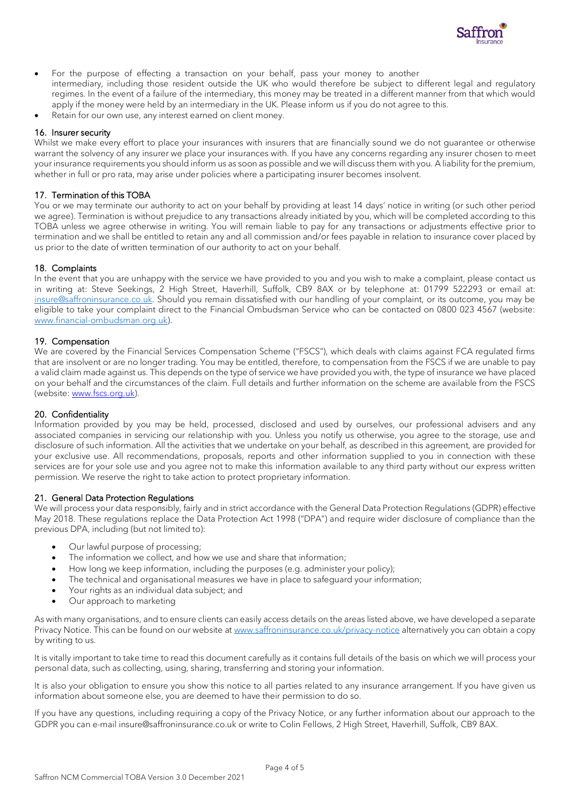

- For the purpose of effecting a transaction on your behalf, pass your money to another intermediary, including those resident outside the UK who would therefore be subject to different legal and regulatory regimes. In the event of a failure of the intermediary, this money may be treated in a different manner from that which would apply if the money were held by an intermediary in the UK. Please inform us if you do not agree to this.
- Retain for our own use, any interest earned on client money.

#### 16. Insurer security

Whilst we make every effort to place your insurances with insurers that are financially sound we do not quarantee or otherwise warrant the solvency of any insurer we place your insurances with. If you have any concerns regarding any insurer chosen to meet your insurance requirements you should inform us as soon as possible and we will discuss them with you. A liability for the premium, whether in full or pro rata, may arise under policies where a participating insurer becomes insolvent.

### 17. Termination of this TOBA

You or we may terminate our authority to act on your behalf by providing at least 14 days' notice in writing (or such other period we agree). Termination is without prejudice to any transactions already initiated by you, which will be completed according to this TOBA unless we agree otherwise in writing. You will remain liable to pay for any transactions or adjustments effective prior to termination and we shall be entitled to retain any and all commission and/or fees payable in relation to insurance cover placed by us prior to the date of written termination of our authority to act on your behalf.

#### 18. Complaints

In the event that you are unhappy with the service we have provided to you and you wish to make a complaint, please contact us in writing at: Steve Seekings, 2 High Street, Haverhill, Suffolk, CB9 8AX or by telephone at: 01799 522293 or email at: [insure@saffroninsurance.co.uk.](mailto:insure@saffroninsurance.co.uk) Should you remain dissatisfied with our handling of your complaint, or its outcome, you may be eligible to take your complaint direct to the Financial Ombudsman Service who can be contacted on 0800 023 4567 (website: [www.financial-ombudsman.org.uk\)](http://www.financial-ombudsman.org.uk/).

#### 19. Compensation

We are covered by the Financial Services Compensation Scheme ("FSCS"), which deals with claims against FCA regulated firms that are insolvent or are no longer trading. You may be entitled, therefore, to compensation from the FSCS if we are unable to pay a valid claim made against us. This depends on the type of service we have provided you with, the type of insurance we have placed on your behalf and the circumstances of the claim. Full details and further information on the scheme are available from the FSCS (website: [www.fscs.org.uk\)](http://www.fscs.org.uk/).

#### 20. Confidentiality

Information provided by you may be held, processed, disclosed and used by ourselves, our professional advisers and any associated companies in servicing our relationship with you. Unless you notify us otherwise, you agree to the storage, use and disclosure of such information. All the activities that we undertake on your behalf, as described in this agreement, are provided for your exclusive use. All recommendations, proposals, reports and other information supplied to you in connection with these services are for your sole use and you agree not to make this information available to any third party without our express written permission. We reserve the right to take action to protect proprietary information.

#### 21. General Data Protection Regulations

We will process your data responsibly, fairly and in strict accordance with the General Data Protection Regulations (GDPR) effective May 2018. These regulations replace the Data Protection Act 1998 ("DPA") and require wider disclosure of compliance than the previous DPA, including (but not limited to):

- Our lawful purpose of processing;
- The information we collect, and how we use and share that information;
- How long we keep information, including the purposes (e.g. administer your policy);
- The technical and organisational measures we have in place to safeguard your information;
- Your rights as an individual data subject; and
- Our approach to marketing

As with many organisations, and to ensure clients can easily access details on the areas listed above, we have developed a separate Privacy Notice. This can be found on our website a[t www.saffroninsurance.co.uk/privacy-notice](http://www.saffroninsurance.co.uk/privacy-notice) alternatively you can obtain a copy by writing to us.

It is vitally important to take time to read this document carefully as it contains full details of the basis on which we will process your personal data, such as collecting, using, sharing, transferring and storing your information.

It is also your obligation to ensure you show this notice to all parties related to any insurance arrangement. If you have given us information about someone else, you are deemed to have their permission to do so.

If you have any questions, including requiring a copy of the Privacy Notice, or any further information about our approach to the GDPR you can e-mail insure@saffroninsurance.co.uk or write to Colin Fellows, 2 High Street, Haverhill, Suffolk, CB9 8AX.